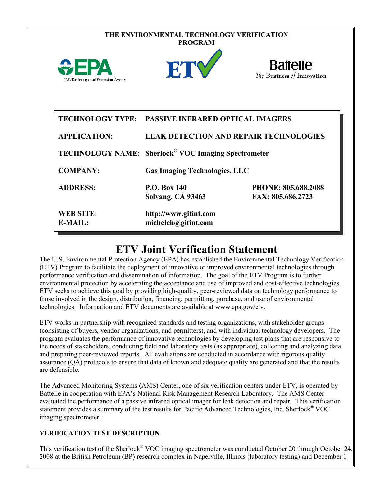|                                      | THE ENVIRONMENTAL TECHNOLOGY VERIFICATION<br><b>PROGRAM</b>            |                                                 |  |
|--------------------------------------|------------------------------------------------------------------------|-------------------------------------------------|--|
| U.S. Environmental Protection Agency | ET                                                                     | <b>Battelle</b><br>The Business of Innovation   |  |
| <b>APPLICATION:</b>                  | TECHNOLOGY TYPE: PASSIVE INFRARED OPTICAL IMAGERS                      | <b>LEAK DETECTION AND REPAIR TECHNOLOGIES</b>   |  |
|                                      | <b>TECHNOLOGY NAME:</b> Sherlock <sup>®</sup> VOC Imaging Spectrometer |                                                 |  |
| <b>COMPANY:</b>                      | <b>Gas Imaging Technologies, LLC</b>                                   |                                                 |  |
| <b>ADDRESS:</b>                      | <b>P.O. Box 140</b><br>Solvang, CA 93463                               | <b>PHONE: 805.688.2088</b><br>FAX: 805.686.2723 |  |
| <b>WEB SITE:</b><br>E-MAIL:          | http://www.gitint.com<br>micheleh@gitint.com                           |                                                 |  |

## **ETV Joint Verification Statement**

The U.S. Environmental Protection Agency (EPA) has established the Environmental Technology Verification (ETV) Program to facilitate the deployment of innovative or improved environmental technologies through performance verification and dissemination of information. The goal of the ETV Program is to further environmental protection by accelerating the acceptance and use of improved and cost-effective technologies. ETV seeks to achieve this goal by providing high-quality, peer-reviewed data on technology performance to those involved in the design, distribution, financing, permitting, purchase, and use of environmental technologies. Information and ETV documents are available at www.epa.gov/etv.

ETV works in partnership with recognized standards and testing organizations, with stakeholder groups (consisting of buyers, vendor organizations, and permitters), and with individual technology developers. The program evaluates the performance of innovative technologies by developing test plans that are responsive to the needs of stakeholders, conducting field and laboratory tests (as appropriate), collecting and analyzing data, and preparing peer-reviewed reports. All evaluations are conducted in accordance with rigorous quality assurance (QA) protocols to ensure that data of known and adequate quality are generated and that the results are defensible.

The Advanced Monitoring Systems (AMS) Center, one of six verification centers under ETV, is operated by Battelle in cooperation with EPA's National Risk Management Research Laboratory. The AMS Center evaluated the performance of a passive infrared optical imager for leak detection and repair. This verification statement provides a summary of the test results for Pacific Advanced Technologies, Inc. Sherlock® VOC imaging spectrometer.

## **VERIFICATION TEST DESCRIPTION**

This verification test of the Sherlock<sup>®</sup> VOC imaging spectrometer was conducted October 20 through October 24, 2008 at the British Petroleum (BP) research complex in Naperville, Illinois (laboratory testing) and December 1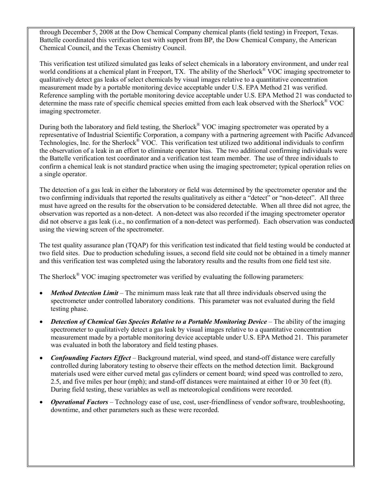through December 5, 2008 at the Dow Chemical Company chemical plants (field testing) in Freeport, Texas. Battelle coordinated this verification test with support from BP, the Dow Chemical Company, the American Chemical Council, and the Texas Chemistry Council.

This verification test utilized simulated gas leaks of select chemicals in a laboratory environment, and under real world conditions at a chemical plant in Freeport, TX. The ability of the Sherlock<sup>®</sup> VOC imaging spectrometer to qualitatively detect gas leaks of select chemicals by visual images relative to a quantitative concentration measurement made by a portable monitoring device acceptable under U.S. EPA Method 21 was verified. Reference sampling with the portable monitoring device acceptable under U.S. EPA Method 21 was conducted to determine the mass rate of specific chemical species emitted from each leak observed with the Sherlock® VOC imaging spectrometer.

During both the laboratory and field testing, the Sherlock<sup>®</sup> VOC imaging spectrometer was operated by a representative of Industrial Scientific Corporation, a company with a partnering agreement with Pacific Advanced Technologies, Inc. for the Sherlock® VOC. This verification test utilized two additional individuals to confirm the observation of a leak in an effort to eliminate operator bias. The two additional confirming individuals were the Battelle verification test coordinator and a verification test team member. The use of three individuals to confirm a chemical leak is not standard practice when using the imaging spectrometer; typical operation relies on a single operator.

The detection of a gas leak in either the laboratory or field was determined by the spectrometer operator and the two confirming individuals that reported the results qualitatively as either a "detect" or "non-detect". All three must have agreed on the results for the observation to be considered detectable. When all three did not agree, the observation was reported as a non-detect. A non-detect was also recorded if the imaging spectrometer operator did not observe a gas leak (i.e., no confirmation of a non-detect was performed). Each observation was conducted using the viewing screen of the spectrometer.

The test quality assurance plan (TQAP) for this verification test indicated that field testing would be conducted at two field sites. Due to production scheduling issues, a second field site could not be obtained in a timely manner and this verification test was completed using the laboratory results and the results from one field test site.

The Sherlock<sup>®</sup> VOC imaging spectrometer was verified by evaluating the following parameters:

- *Method Detection Limit* The minimum mass leak rate that all three individuals observed using the spectrometer under controlled laboratory conditions. This parameter was not evaluated during the field testing phase.
- *Detection of Chemical Gas Species Relative to a Portable Monitoring Device* The ability of the imaging spectrometer to qualitatively detect a gas leak by visual images relative to a quantitative concentration measurement made by a portable monitoring device acceptable under U.S. EPA Method 21. This parameter was evaluated in both the laboratory and field testing phases.
- *Confounding Factors Effect* Background material, wind speed, and stand-off distance were carefully controlled during laboratory testing to observe their effects on the method detection limit. Background materials used were either curved metal gas cylinders or cement board; wind speed was controlled to zero, 2.5, and five miles per hour (mph); and stand-off distances were maintained at either 10 or 30 feet (ft). During field testing, these variables as well as meteorological conditions were recorded.
- *Operational Factors* Technology ease of use, cost, user-friendliness of vendor software, troubleshooting, downtime, and other parameters such as these were recorded.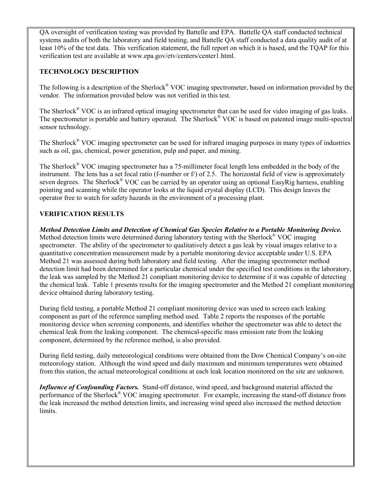QA oversight of verification testing was provided by Battelle and EPA. Battelle QA staff conducted technical systems audits of both the laboratory and field testing, and Battelle QA staff conducted a data quality audit of at least 10% of the test data. This verification statement, the full report on which it is based, and the TQAP for this verification test are available at www.epa.gov/etv/centers/center1.html.

## **TECHNOLOGY DESCRIPTION**

The following is a description of the Sherlock® VOC imaging spectrometer, based on information provided by the vendor. The information provided below was not verified in this test.

The Sherlock® VOC is an infrared optical imaging spectrometer that can be used for video imaging of gas leaks. The spectrometer is portable and battery operated. The Sherlock<sup>®</sup> VOC is based on patented image multi-spectral sensor technology.

The Sherlock® VOC imaging spectrometer can be used for infrared imaging purposes in many types of industries such as oil, gas, chemical, power generation, pulp and paper, and mining.

The Sherlock® VOC imaging spectrometer has a 75-millimeter focal length lens embedded in the body of the instrument. The lens has a set focal ratio (f-number or f/) of 2.5. The horizontal field of view is approximately seven degrees. The Sherlock<sup>®</sup> VOC can be carried by an operator using an optional EasyRig harness, enabling pointing and scanning while the operator looks at the liquid crystal display (LCD). This design leaves the operator free to watch for safety hazards in the environment of a processing plant.

## **VERIFICATION RESULTS**

*Method Detection Limits and Detection of Chemical Gas Species Relative to a Portable Monitoring Device.* Method detection limits were determined during laboratory testing with the Sherlock<sup>®</sup> VOC imaging spectrometer. The ability of the spectrometer to qualitatively detect a gas leak by visual images relative to a quantitative concentration measurement made by a portable monitoring device acceptable under U.S. EPA Method 21 was assessed during both laboratory and field testing. After the imaging spectrometer method detection limit had been determined for a particular chemical under the specified test conditions in the laboratory, the leak was sampled by the Method 21 compliant monitoring device to determine if it was capable of detecting the chemical leak. Table 1 presents results for the imaging spectrometer and the Method 21 compliant monitoring device obtained during laboratory testing.

During field testing, a portable Method 21 compliant monitoring device was used to screen each leaking component as part of the reference sampling method used. [Table 2](#page-3-0) reports the responses of the portable monitoring device when screening components, and identifies whether the spectrometer was able to detect the chemical leak from the leaking component. The chemical-specific mass emission rate from the leaking component, determined by the reference method, is also provided.

During field testing, daily meteorological conditions were obtained from the Dow Chemical Company's on-site meteorology station. Although the wind speed and daily maximum and minimum temperatures were obtained from this station, the actual meteorological conditions at each leak location monitored on the site are unknown.

*Influence of Confounding Factors.* Stand-off distance, wind speed, and background material affected the performance of the Sherlock® VOC imaging spectrometer. For example, increasing the stand-off distance from the leak increased the method detection limits, and increasing wind speed also increased the method detection limits.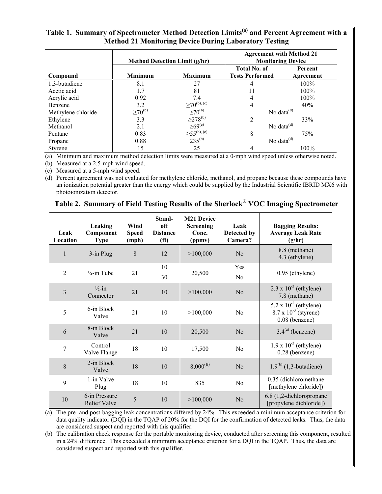| Table 1. Summary of Spectrometer Method Detection Limits <sup>(a)</sup> and Percent Agreement with a |
|------------------------------------------------------------------------------------------------------|
| <b>Method 21 Monitoring Device During Laboratory Testing</b>                                         |

|                    | <b>Method Detection Limit (g/hr)</b> |                                         | <b>Agreement with Method 21</b><br><b>Monitoring Device</b> |                      |  |
|--------------------|--------------------------------------|-----------------------------------------|-------------------------------------------------------------|----------------------|--|
| Compound           | <b>Minimum</b>                       | <b>Maximum</b>                          | <b>Total No. of</b><br><b>Tests Performed</b>               | Percent<br>Agreement |  |
| 1,3-butadiene      | 8.1                                  | 27                                      | 4                                                           | 100%                 |  |
| Acetic acid        | 1.7                                  | 81                                      | 11                                                          | 100%                 |  |
| Acrylic acid       | 0.92                                 | 7.4                                     | 4                                                           | 100%                 |  |
| Benzene            | 3.2                                  | $\geq 70^{(b), (c)}$<br>$\geq 70^{(b)}$ | 4                                                           | 40%                  |  |
| Methylene chloride | $\geq 70^{(b)}$                      |                                         | No data $^{(d)}$                                            |                      |  |
| Ethylene           | 3.3                                  | $\geq$ 278 <sup>(b)</sup>               | $\overline{2}$                                              | 33%                  |  |
| Methanol           | 2.1                                  |                                         | No data $^{(d)}$                                            |                      |  |
| Pentane            | 0.83                                 | $\geq 69^{(c)}$<br>$\geq 55^{(b),(c)}$  | 8                                                           | 75%                  |  |
| Propane            | 0.88                                 | $235^{(b)}$                             | No data $^{(d)}$                                            |                      |  |
| <b>Styrene</b>     | 15                                   | 25                                      | 100%<br>4                                                   |                      |  |

(a) Minimum and maximum method detection limits were measured at a 0-mph wind speed unless otherwise noted.

(b) Measured at a 2.5-mph wind speed.

(c) Measured at a 5-mph wind speed.

(d) Percent agreement was not evaluated for methylene chloride, methanol, and propane because these compounds have an ionization potential greater than the energy which could be supplied by the Industrial Scientific IBRID MX6 with photoionization detector.

<span id="page-3-0"></span>

|  | Table 2. Summary of Field Testing Results of the Sherlock® VOC Imaging Spectrometer |  |  |
|--|-------------------------------------------------------------------------------------|--|--|
|  |                                                                                     |  |  |

| Leak<br>Location        | Leaking<br>Component<br><b>Type</b>  | Wind<br><b>Speed</b><br>(mph) | Stand-<br>off<br><b>Distance</b><br>(f <sup>t</sup> ) | <b>M21 Device</b><br><b>Screening</b><br>Conc.<br>(ppmv) | Leak<br>Detected by<br>Camera? | <b>Bagging Results:</b><br><b>Average Leak Rate</b><br>(g/hr)                         |
|-------------------------|--------------------------------------|-------------------------------|-------------------------------------------------------|----------------------------------------------------------|--------------------------------|---------------------------------------------------------------------------------------|
| 1                       | 3-in Plug                            | $\,8\,$                       | 12                                                    | >100,000                                                 | No                             | 8.8 (methane)<br>4.3 (ethylene)                                                       |
| $\overline{2}$          | $\frac{1}{4}$ -in Tube               | 21                            | 10<br>30                                              | 20,500                                                   | Yes<br>N <sub>0</sub>          | 0.95 (ethylene)                                                                       |
| $\overline{\mathbf{3}}$ | $\frac{1}{2}$ -in<br>Connector       | 21                            | 10                                                    | >100,000                                                 | No                             | $2.3 \times 10^{-3}$ (ethylene)<br>7.8 (methane)                                      |
| 5                       | 6-in Block<br>Valve                  | 21                            | 10                                                    | >100,000                                                 | N <sub>0</sub>                 | $5.2 \times 10^{-2}$ (ethylene)<br>$8.7 \times 10^{-3}$ (styrene)<br>$0.08$ (benzene) |
| $\sqrt{6}$              | 8-in Block<br>Valve                  | 21                            | 10                                                    | 20,500                                                   | N <sub>o</sub>                 | $3.4(a)$ (benzene)                                                                    |
| $\overline{7}$          | Control<br>Valve Flange              | 18                            | 10                                                    | 17,500                                                   | N <sub>0</sub>                 | $1.9 \times 10^{-3}$ (ethylene)<br>$0.28$ (benzene)                                   |
| 8                       | 2-in Block<br>Valve                  | 18                            | 10                                                    | $8,000^{(B)}$                                            | N <sub>o</sub>                 | $1.9^{(b)}(1,3$ -butadiene)                                                           |
| 9                       | 1-in Valve<br>Plug                   | 18                            | 10                                                    | 835                                                      | No                             | 0.35 (dichloromethane<br>[methylene chloride])                                        |
| 10                      | 6-in Pressure<br><b>Relief Valve</b> | 5                             | 10                                                    | >100,000                                                 | N <sub>o</sub>                 | 6.8 (1,2-dichloropropane<br>[propylene dichloride])                                   |

(a) The pre- and post-bagging leak concentrations differed by 24%. This exceeded a minimum acceptance criterion for data quality indicator (DQI) in the TQAP of 20% for the DQI for the confirmation of detected leaks. Thus, the data are considered suspect and reported with this qualifier.

(b) The calibration check response for the portable monitoring device, conducted after screening this component, resulted in a 24% difference. This exceeded a minimum acceptance criterion for a DQI in the TQAP. Thus, the data are considered suspect and reported with this qualifier.